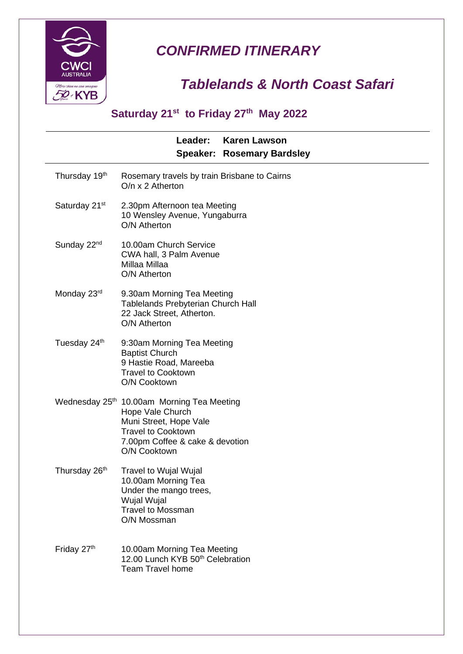

## *CONFIRMED ITINERARY*

## *Tablelands & North Coast Safari*

## **Saturday 21st to Friday 27th May 2022**

|                                            |                                                                                                                                         | Leader: | <b>Karen Lawson</b><br><b>Speaker: Rosemary Bardsley</b> |  |
|--------------------------------------------|-----------------------------------------------------------------------------------------------------------------------------------------|---------|----------------------------------------------------------|--|
| Thursday 19 <sup>th</sup>                  | O/n x 2 Atherton                                                                                                                        |         | Rosemary travels by train Brisbane to Cairns             |  |
| Saturday 21 <sup>st</sup>                  | 2.30pm Afternoon tea Meeting<br>10 Wensley Avenue, Yungaburra<br>O/N Atherton                                                           |         |                                                          |  |
| Sunday 22 <sup>nd</sup>                    | 10.00am Church Service<br>CWA hall, 3 Palm Avenue<br>Millaa Millaa<br>O/N Atherton                                                      |         |                                                          |  |
| Monday 23rd                                | 9.30am Morning Tea Meeting<br><b>Tablelands Prebyterian Church Hall</b><br>22 Jack Street, Atherton.<br>O/N Atherton                    |         |                                                          |  |
| Tuesday 24th                               | 9:30am Morning Tea Meeting<br><b>Baptist Church</b><br>9 Hastie Road, Mareeba<br><b>Travel to Cooktown</b><br>O/N Cooktown              |         |                                                          |  |
| Wednesday 25th 10.00am Morning Tea Meeting | Hope Vale Church<br>Muni Street, Hope Vale<br><b>Travel to Cooktown</b><br>7.00pm Coffee & cake & devotion<br>O/N Cooktown              |         |                                                          |  |
| Thursday 26 <sup>th</sup>                  | Travel to Wujal Wujal<br>10.00am Morning Tea<br>Under the mango trees,<br><b>Wujal Wujal</b><br><b>Travel to Mossman</b><br>O/N Mossman |         |                                                          |  |
| Friday 27th                                | 10.00am Morning Tea Meeting<br>12.00 Lunch KYB 50 <sup>th</sup> Celebration<br><b>Team Travel home</b>                                  |         |                                                          |  |